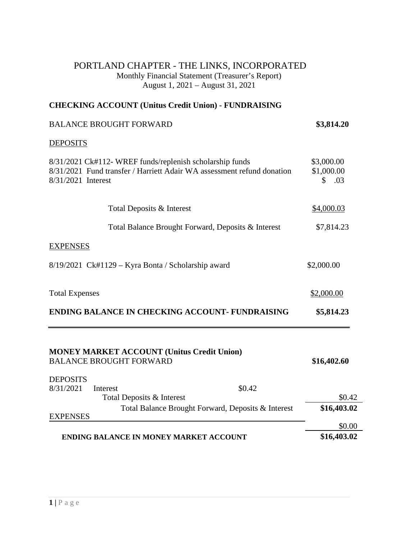## PORTLAND CHAPTER - THE LINKS, INCORPORATED Monthly Financial Statement (Treasurer's Report) August 1, 2021 – August 31, 2021

## **CHECKING ACCOUNT (Unitus Credit Union) - FUNDRAISING**

# BALANCE BROUGHT FORWARD **\$3,814.20**

#### **DEPOSITS**

| 8/31/2021 Ck#112- WREF funds/replenish scholarship funds<br>8/31/2021 Fund transfer / Harriett Adair WA assessment refund donation<br>8/31/2021 Interest | \$3,000.00<br>\$1,000.00<br>$\mathbb{S}$<br>.03 |
|----------------------------------------------------------------------------------------------------------------------------------------------------------|-------------------------------------------------|
| Total Deposits & Interest                                                                                                                                | \$4,000.03                                      |
| Total Balance Brought Forward, Deposits & Interest                                                                                                       | \$7,814.23                                      |
| <b>EXPENSES</b>                                                                                                                                          |                                                 |
| $8/19/2021$ Ck#1129 – Kyra Bonta / Scholarship award                                                                                                     | \$2,000.00                                      |
| <b>Total Expenses</b>                                                                                                                                    | \$2,000.00                                      |
| <b>ENDING BALANCE IN CHECKING ACCOUNT- FUNDRAISING</b>                                                                                                   | \$5,814.23                                      |
| <b>MONEY MARKET ACCOUNT (Unitus Credit Union)</b><br><b>BALANCE BROUGHT FORWARD</b>                                                                      | \$16,402.60                                     |
| <b>DEPOSITS</b>                                                                                                                                          |                                                 |
| 8/31/2021<br>\$0.42<br>Interest<br>Total Deposits & Interest                                                                                             | \$0.42                                          |
| Total Balance Brought Forward, Deposits & Interest<br><b>EXPENSES</b>                                                                                    | \$16,403.02                                     |
|                                                                                                                                                          | \$0.00                                          |
| <b>ENDING BALANCE IN MONEY MARKET ACCOUNT</b>                                                                                                            | \$16,403.02                                     |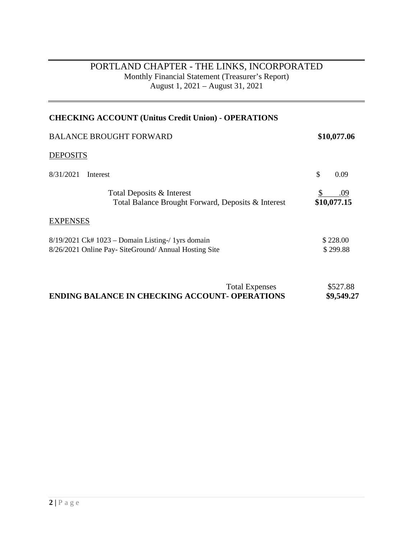# PORTLAND CHAPTER - THE LINKS, INCORPORATED Monthly Financial Statement (Treasurer's Report) August 1, 2021 – August 31, 2021

| \$10,077.06          |
|----------------------|
|                      |
| \$<br>0.09           |
| .09<br>\$10,077.15   |
|                      |
| \$228.00<br>\$299.88 |
|                      |

| <b>Total Expenses</b>                                 | \$527.88   |
|-------------------------------------------------------|------------|
| <b>ENDING BALANCE IN CHECKING ACCOUNT- OPERATIONS</b> | \$9,549.27 |